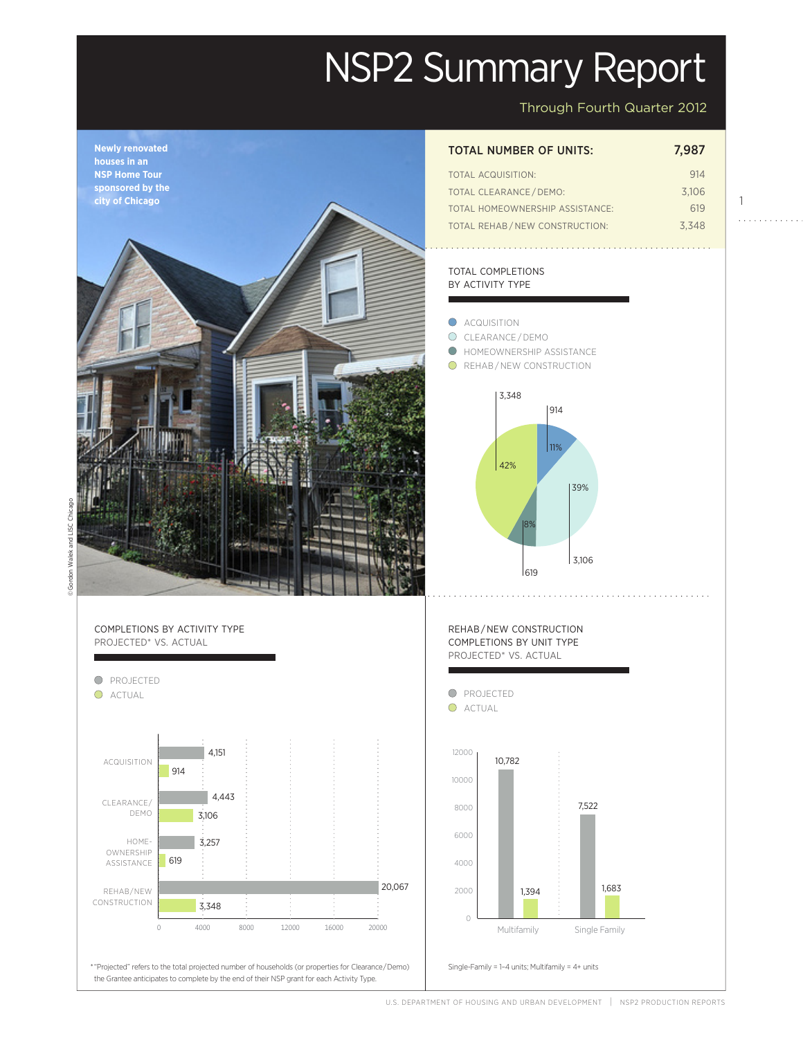# NSP2 Summary Report

Through Fourth Quarter 2012

1

. . . . . . . . . . . .



## TOTAL NUMBER OF UNITS: 7,987

| TOTAL ACQUISITION:              | 914   |
|---------------------------------|-------|
| <b>TOTAL CLEARANCE / DEMO:</b>  | 3.106 |
| TOTAL HOMEOWNERSHIP ASSISTANCE: | 619   |
| TOTAL REHAB/NEW CONSTRUCTION:   | 3.348 |

#### TOTAL COMPLETIONS BY ACTIVITY TYPE

- C**ACQUISITION** CLEARANCE / DEMO **O** HOMEOWNERSHIP ASSISTANCE
- **O** REHAB/NEW CONSTRUCTION



REHAB / NEW CONSTRUCTION COMPLETIONS BY UNIT TYPE PROJECTED\* VS. ACTUAL



Actual \* "Projected" refers to the total projected number of households (or properties for Clearance / Demo) Single-Family = 1–4 units; Multifamily = 4+ units Projected the Grantee anticipates to complete by the end of their NSP grant for each Activity Type.

0 4000 8000 12000 16000 20000

20,067

20,067

HOME-OWNERSHIP ASSISTANCE

3,106

619

3,106

3,257

3,348

3,348

REHAB/NEW CONSTRUCTION

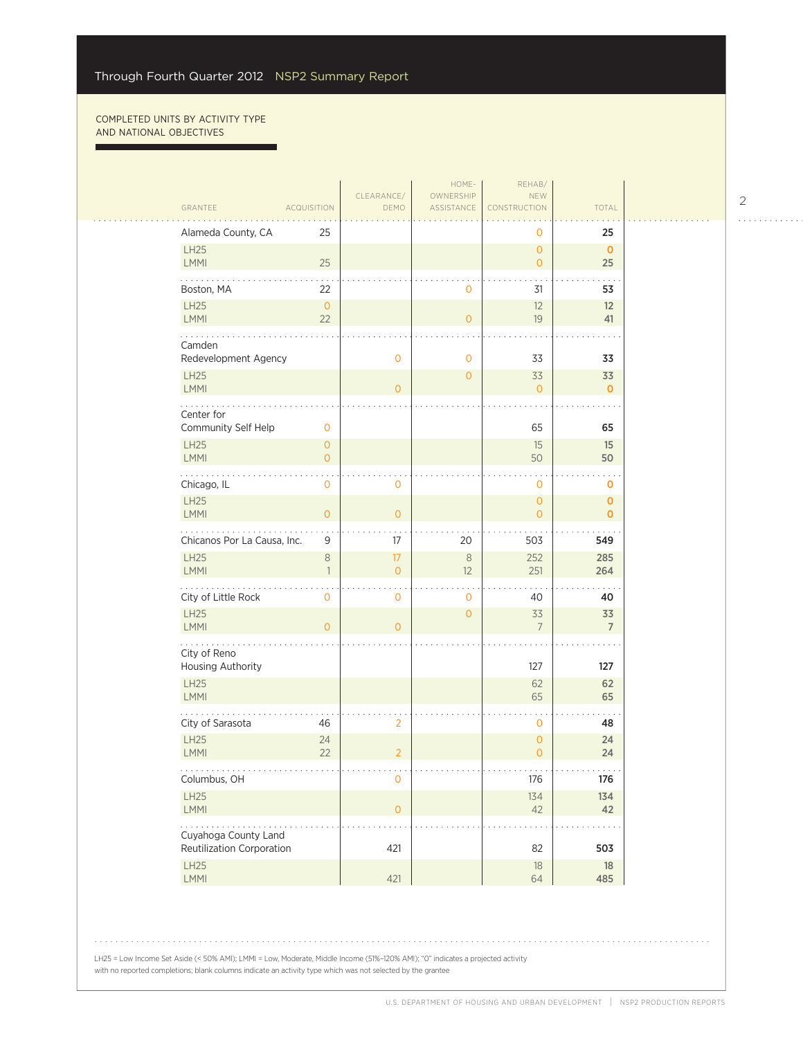г

| HOME-<br>REHAB/                   |                      |                     |                         |                                |                                       |  |  |
|-----------------------------------|----------------------|---------------------|-------------------------|--------------------------------|---------------------------------------|--|--|
| GRANTEE                           | <b>ACQUISITION</b>   | CLEARANCE/<br>DEMO  | OWNERSHIP<br>ASSISTANCE | <b>NEW</b><br>CONSTRUCTION     | TOTAL                                 |  |  |
|                                   |                      |                     |                         |                                |                                       |  |  |
| Alameda County, CA                | 25                   |                     |                         | 0                              | 25                                    |  |  |
| <b>LH25</b><br>LMMI               | 25                   |                     |                         | $\overline{0}$<br>$\mathbf{O}$ | $\mathbf{0}$<br>25                    |  |  |
| Boston, MA                        | 22                   |                     | 0                       | 31                             | 53                                    |  |  |
| <b>LH25</b><br>LMMI               | $\overline{0}$<br>22 |                     | $\overline{O}$          | 12<br>19                       | 12<br>41                              |  |  |
| Camden<br>Redevelopment Agency    |                      | $\overline{0}$      | 0                       | 33                             | 33                                    |  |  |
| <b>LH25</b>                       |                      |                     | $\mathbf{0}$            | 33                             | 33                                    |  |  |
| LMMI                              |                      | $\overline{0}$      |                         | $\mathbf{0}$                   | $\mathbf{0}$                          |  |  |
| Center for<br>Community Self Help | $\mathbf 0$          |                     |                         | 65                             | 65                                    |  |  |
| <b>LH25</b>                       | $\overline{0}$       |                     |                         | 15                             | 15                                    |  |  |
| LMMI                              | $\overline{0}$       |                     |                         | 50                             | 50                                    |  |  |
| Chicago, IL                       | 0                    | $\overline{0}$      |                         | $\mathbf 0$                    | o                                     |  |  |
| <b>LH25</b><br>LMMI               | $\mathsf{O}\xspace$  | $\overline{0}$      |                         | $\overline{0}$<br>$\mathbf{0}$ | $\mathbf{O}$<br>$\mathbf{0}$          |  |  |
| Chicanos Por La Causa, Inc.       | 9                    | 17                  | 20                      | 503                            | 549                                   |  |  |
| <b>LH25</b><br>LMMI               | 8<br>$\mathbf{1}$    | 17<br>$\circ$       | $\,8\,$<br>12           | 252<br>251                     | 285<br>264                            |  |  |
| City of Little Rock               | $\mathbf 0$          | $\mathbf 0$         | 0                       | 40                             | 40                                    |  |  |
| <b>LH25</b>                       |                      |                     | $\overline{0}$          | 33                             | 33                                    |  |  |
| LMMI                              | $\overline{O}$       | $\Omega$            |                         | $\overline{7}$                 | $\overline{7}$                        |  |  |
| City of Reno                      |                      |                     |                         |                                |                                       |  |  |
| Housing Authority                 |                      |                     |                         | 127                            | 127                                   |  |  |
| <b>LH25</b><br>LMMI               |                      |                     |                         | 62<br>65                       | 62<br>65                              |  |  |
| City of Sarasota                  | 46                   | 2                   |                         | $\mathbf 0$                    | 48                                    |  |  |
| <b>LH25</b><br>LMMI               | 24<br>22             | $\overline{2}$      |                         | $\circ$<br>$\overline{O}$      | 24<br>24                              |  |  |
| .<br>Columbus, OH                 |                      | $\mathbf 0$         |                         | .<br>176                       | $\alpha$ , $\alpha$ , $\alpha$<br>176 |  |  |
| <b>LH25</b><br>LMMI               |                      | $\mathsf{O}\xspace$ |                         | 134<br>42                      | 134<br>42                             |  |  |
| .<br>Cuyahoga County Land         |                      |                     |                         |                                |                                       |  |  |
| Reutilization Corporation         |                      | 421                 |                         | 82                             | 503                                   |  |  |
| <b>LH25</b><br>LMMI               |                      | 421                 |                         | $18\,$<br>64                   | 18<br>485                             |  |  |
|                                   |                      |                     |                         |                                |                                       |  |  |

. . . . . . . . . . . .

LH25 = Low Income Set Aside (< 50% AMI); LMMI = Low, Moderate, Middle Income (51%–120% AMI); "0" indicates a projected activity with no reported completions; blank columns indicate an activity type which was not selected by the grantee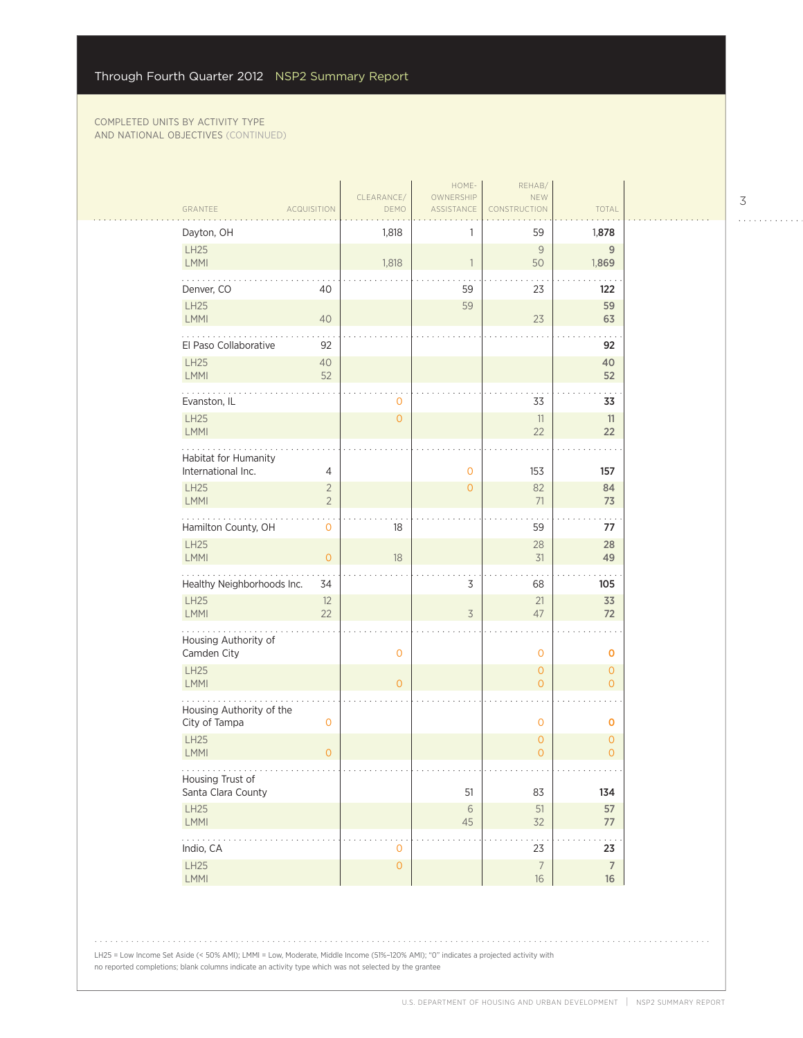|                                            |                                  | CLEARANCE/          | HOME-<br>OWNERSHIP | REHAB/<br>NEW                  |                                       |
|--------------------------------------------|----------------------------------|---------------------|--------------------|--------------------------------|---------------------------------------|
| GRANTEE                                    | <b>ACQUISITION</b>               | DEMO                | ASSISTANCE         | CONSTRUCTION                   | <b>TOTAL</b>                          |
| Dayton, OH                                 |                                  | 1,818               | 1                  | 59                             | 1,878                                 |
| LH25<br>LMMI                               |                                  | 1,818               | $\mathbf{1}$       | 9<br>50                        | $\overline{9}$<br>1,869               |
| Denver, CO                                 | 40                               |                     | 59                 | 23                             | 122                                   |
| LH25<br>LMMI                               | 40                               |                     | 59                 | 23                             | 59<br>63                              |
| El Paso Collaborative                      | 92                               |                     |                    |                                | 92                                    |
| <b>LH25</b><br>LMMI                        | 40<br>52                         |                     |                    |                                | 40<br>52                              |
| Evanston, IL                               |                                  | 0                   |                    | 33                             | 33                                    |
| LH25<br>LMMI                               |                                  | $\overline{0}$      |                    | 11<br>22                       | 11<br>22                              |
| Habitat for Humanity<br>International Inc. | 4                                |                     | $\mathbf 0$        | 153                            | 157                                   |
| <b>LH25</b><br>LMMI                        | $\overline{2}$<br>$\overline{2}$ |                     | $\overline{0}$     | 82<br>71                       | 84<br>73                              |
| Hamilton County, OH                        | $\mathbf 0$                      | 18                  |                    | 59                             | 77                                    |
| <b>LH25</b><br>LMMI                        | $\circ$                          | 18                  |                    | 28<br>31                       | 28<br>49                              |
| Healthy Neighborhoods Inc.                 | 34                               |                     | 3                  | 68                             | 105                                   |
| <b>LH25</b><br><b>LMMI</b>                 | 12<br>22                         |                     | $\overline{3}$     | 21<br>47                       | 33<br>72                              |
| .<br>Housing Authority of<br>Camden City   |                                  | $\overline{0}$      |                    | $\mathbf 0$                    | 0                                     |
| <b>LH25</b><br>LMMI                        |                                  | $\overline{O}$      |                    | $\mathbf{0}$<br>$\overline{O}$ | $\overline{O}$<br>$\overline{O}$      |
| Housing Authority of the<br>City of Tampa  | $\mathbf 0$                      |                     |                    | $\mathbf 0$                    | 0                                     |
| <b>LH25</b><br>LMMI                        | $\overline{O}$                   |                     |                    | $\mathbf{O}$<br>$\overline{O}$ | $\mathsf{O}\xspace$<br>$\overline{O}$ |
| Housing Trust of<br>Santa Clara County     |                                  |                     | 51                 | 83                             | 134                                   |
| LH25<br>LMMI                               |                                  |                     | $6\,$<br>45        | $51\,$<br>32                   | 57<br>$77\,$                          |
| .<br>Indio, CA                             |                                  | 0                   |                    | 23                             | 23                                    |
| <b>LH25</b><br>LMMI                        |                                  | $\mathsf{O}\xspace$ |                    | $\overline{7}$<br>$16\,$       | $\overline{7}$<br>16                  |

LH25 = Low Income Set Aside (< 50% AMI); LMMI = Low, Moderate, Middle Income (51%–120% AMI); "0" indicates a projected activity with no reported completions; blank columns indicate an activity type which was not selected by the grantee

3

. . . . . . . . . . . .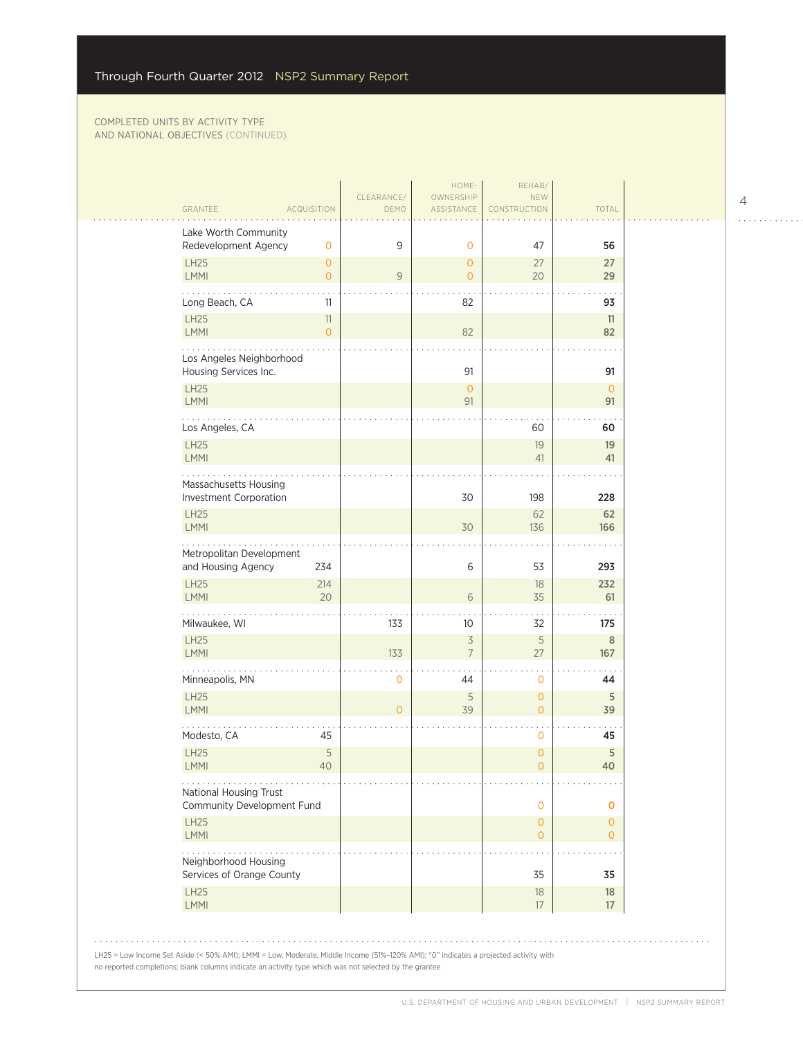| GRANTEE                                                   | <b>ACQUISITION</b>             | CLEARANCE/<br>DEMO | HOME-<br>OWNERSHIP<br>ASSISTANCE | REHAB/<br><b>NEW</b><br><b>CONSTRUCTION</b> | TOTAL                     |
|-----------------------------------------------------------|--------------------------------|--------------------|----------------------------------|---------------------------------------------|---------------------------|
| Lake Worth Community<br>Redevelopment Agency              | $\mathbf 0$                    | 9                  | $\mathbf{O}$                     | 47                                          | 56                        |
| LH25<br>LMMI                                              | $\overline{0}$<br>$\mathbf{O}$ | 9                  | $\overline{O}$<br>$\overline{O}$ | 27<br>20                                    | 27<br>29                  |
| Long Beach, CA                                            | 11                             |                    | 82                               |                                             | 93                        |
| <b>LH25</b><br>LMMI                                       | $11\,$<br>$\overline{O}$       |                    | 82                               |                                             | 11<br>82                  |
| Los Angeles Neighborhood<br>Housing Services Inc.         |                                |                    | 91                               |                                             | 91                        |
| <b>LH25</b><br>LMMI                                       |                                |                    | $\overline{O}$<br>91             |                                             | $\overline{O}$<br>91      |
| Los Angeles, CA                                           |                                |                    |                                  | 60                                          | 60                        |
| <b>LH25</b><br>LMMI                                       |                                |                    |                                  | 19<br>41                                    | 19<br>41                  |
| Massachusetts Housing<br>Investment Corporation           |                                |                    | 30                               | 198                                         | 228                       |
| LH25<br><b>LMMI</b>                                       |                                |                    | 30                               | 62<br>136                                   | 62<br>166                 |
| Metropolitan Development<br>and Housing Agency            | 234                            |                    | 6                                | 53                                          | 293                       |
| <b>LH25</b><br>LMMI                                       | 214<br>20                      |                    | 6                                | 18<br>35                                    | 232<br>61                 |
| Milwaukee, WI                                             |                                | 133                | 10                               | 32                                          | 175                       |
| LH25<br>LMMI                                              |                                | 133                | 3<br>$\overline{7}$              | 5<br>27                                     | $\,8\,$<br>167            |
| Minneapolis, MN                                           |                                | 0                  | 44                               | $\mathbf 0$                                 | 44                        |
| <b>LH25</b><br>LMMI                                       |                                | $\overline{O}$     | 5<br>39                          | $\mathbf{O}$<br>$\mathbf{O}$                | 5<br>39                   |
| Modesto, CA                                               | 45                             |                    |                                  | $\mathbf 0$                                 | 45                        |
| <b>LH25</b><br>LMMI                                       | 5<br>40                        |                    |                                  | 0<br>$\Omega$                               | 5<br>40                   |
| .<br>National Housing Trust<br>Community Development Fund |                                |                    |                                  | $\mathbf 0$                                 | 0                         |
| <b>LH25</b><br>LMMI                                       |                                |                    |                                  | $\circ$<br>$\mathbf{O}$                     | $\circ$<br>$\overline{O}$ |
| Neighborhood Housing<br>Services of Orange County         |                                |                    |                                  | 35                                          | 35                        |
| <b>LH25</b><br>LMMI                                       |                                |                    |                                  | 18<br>17                                    | 18<br>17                  |

4

. . . . . . . . . . . .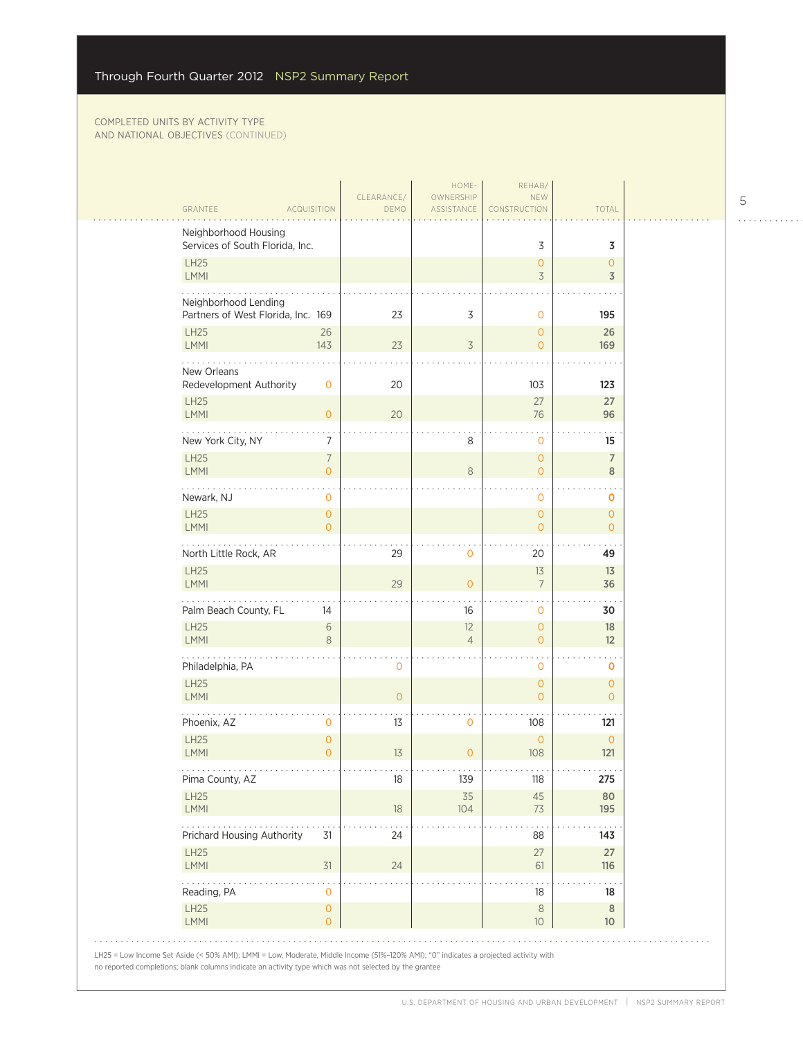| GRANTEE<br>ACQUISITION                                     | CLEARANCE/                            | DEMO        | HOME-<br>OWNERSHIP<br>ASSISTANCE       | REHAB/<br><b>NEW</b><br>CONSTRUCTION     | TOTAL                            |
|------------------------------------------------------------|---------------------------------------|-------------|----------------------------------------|------------------------------------------|----------------------------------|
| Neighborhood Housing<br>Services of South Florida, Inc.    |                                       |             |                                        | 3                                        | 3                                |
| <b>LH25</b><br><b>LMMI</b>                                 |                                       |             |                                        | $\mathbf{O}$<br>$\overline{\mathcal{S}}$ | $\mathbf{O}$<br>3                |
| Neighborhood Lending<br>Partners of West Florida, Inc. 169 |                                       | 23          | 3                                      | $\mathbf 0$                              | 195                              |
| <b>LH25</b><br>LMMI                                        | 26<br>143                             | 23          | 3                                      | $\mathbf{O}$<br>$\mathbf{O}$             | 26<br>169                        |
| New Orleans                                                |                                       |             |                                        |                                          |                                  |
| Redevelopment Authority<br><b>LH25</b>                     | 0                                     | 20          |                                        | 103<br>27                                | 123<br>27                        |
| LMMI<br>New York City, NY                                  | $\overline{O}$<br>7                   | 20          | 8                                      | 76<br>$\mathbf 0$                        | 96<br>15                         |
| <b>LH25</b><br>LMMI                                        | $\overline{7}$<br>$\overline{O}$      |             | 8                                      | $\mathbf{O}$<br>$\overline{O}$           | $\overline{7}$<br>8              |
| .<br>Newark, NJ                                            | 0                                     |             |                                        | $\ddot{\phantom{0}}$<br>0                | 0                                |
| LH25<br><b>LMMI</b>                                        | $\mathsf{O}\xspace$<br>$\overline{O}$ |             |                                        | $\circ$<br>$\mathbf{O}$                  | $\mathbf{O}$<br>$\Omega$         |
| North Little Rock, AR<br><b>LH25</b>                       |                                       | 29          | $\mathbf{O}$                           | 20<br>13                                 | 49<br>13                         |
| <b>LMMI</b><br>.                                           |                                       | 29          | $\overline{0}$                         | $\overline{7}$                           | 36                               |
| Palm Beach County, FL<br><b>LH25</b><br><b>LMMI</b>        | 14<br>$\sqrt{6}$                      |             | 16<br>12<br>$\overline{4}$             | 0<br>$\mathbf{O}$                        | 30<br>18<br>12                   |
| Philadelphia, PA                                           | 8                                     | $\mathbf 0$ |                                        | $\mathbf{O}$<br>0                        | 0                                |
| <b>LH25</b><br><b>LMMI</b>                                 |                                       | $\circ$     |                                        | $\mathbf{O}$<br>$\mathbf{O}$             | $\overline{0}$<br>$\overline{0}$ |
| Phoenix, AZ                                                | 0                                     | 13          | 0                                      | 108                                      | 121                              |
| <b>LH25</b><br>LMMI<br>.                                   | $\mathsf{O}\xspace$<br>$\overline{0}$ | 13          | $\overline{O}$<br>$\sim$ $\sim$ $\sim$ | $\mathbf{O}$<br>108<br>$\sim$ $\sim$     | $\mathbf{O}$<br>121<br>$\cdots$  |
| Pima County, AZ<br><b>LH25</b>                             |                                       | 18          | 139<br>35                              | 118<br>45                                | 275<br>80                        |
| LMMI<br>.                                                  |                                       | 18          | 104                                    | 73                                       | 195                              |
| Prichard Housing Authority<br>LH25                         | 31                                    | 24          |                                        | 88<br>27                                 | 143<br>27                        |
| LMMI<br>Reading, PA                                        | $31$<br>$\mathbf 0$                   | 24          |                                        | 61<br>18                                 | 116<br>18                        |
| LH25<br>LMMI                                               | $\mathsf{O}\xspace$<br>$\mathbf{O}$   |             |                                        | $\,8\,$<br>$10$                          | 8<br>10 <sup>°</sup>             |

 $\begin{array}{cccccccccccccc} . & . & . & . & . & . & . & . & . & . & . & . & . \end{array}$